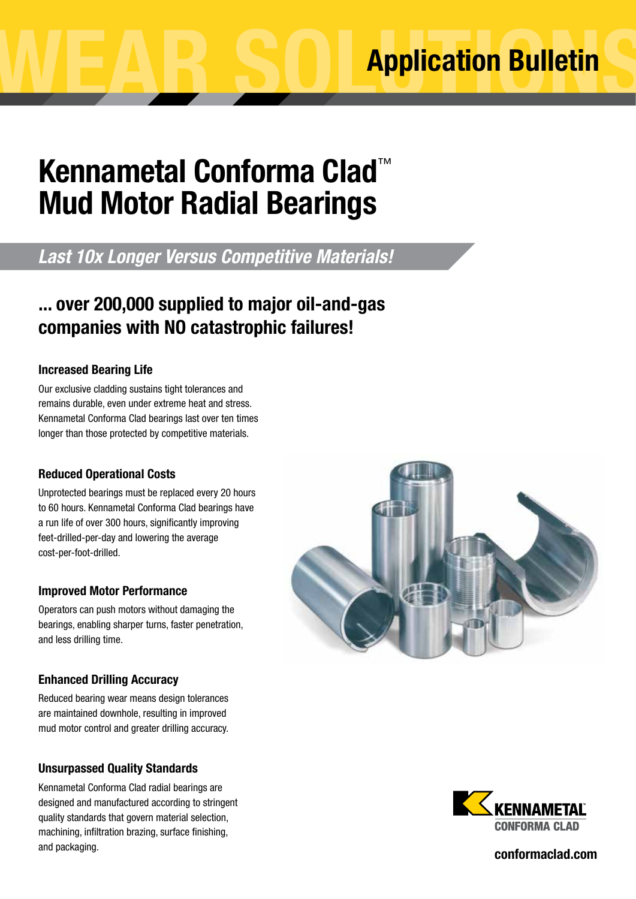# **Kennametal Conforma Clad**™ **Mud Motor Radial Bearings**

## *Last 10x Longer Versus Competitive Materials!*

### ... over 200,000 supplied to major oil-and-gas companies with NO catastrophic failures!

### Increased Bearing Life

Our exclusive cladding sustains tight tolerances and remains durable, even under extreme heat and stress. Kennametal Conforma Clad bearings last over ten times longer than those protected by competitive materials.

### Reduced Operational Costs

Unprotected bearings must be replaced every 20 hours to 60 hours. Kennametal Conforma Clad bearings have a run life of over 300 hours, significantly improving feet-drilled-per-day and lowering the average cost-per-foot-drilled.

#### Improved Motor Performance

Operators can push motors without damaging the bearings, enabling sharper turns, faster penetration, and less drilling time.

### Enhanced Drilling Accuracy

Reduced bearing wear means design tolerances are maintained downhole, resulting in improved mud motor control and greater drilling accuracy.

### Unsurpassed Quality Standards

Kennametal Conforma Clad radial bearings are designed and manufactured according to stringent quality standards that govern material selection, machining, infiltration brazing, surface finishing, and packaging.





conformaclad.com